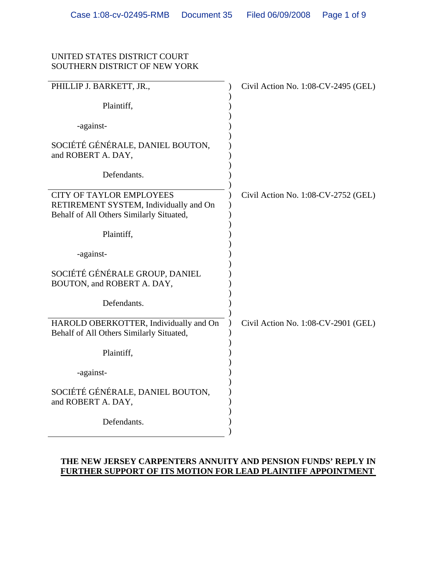## UNITED STATES DISTRICT COURT SOUTHERN DISTRICT OF NEW YORK

| PHILLIP J. BARKETT, JR.,                                                                                              | Civil Action No. 1:08-CV-2495 (GEL) |
|-----------------------------------------------------------------------------------------------------------------------|-------------------------------------|
| Plaintiff,                                                                                                            |                                     |
| -against-                                                                                                             |                                     |
| SOCIÉTÉ GÉNÉRALE, DANIEL BOUTON,<br>and ROBERT A. DAY,                                                                |                                     |
| Defendants.                                                                                                           |                                     |
| <b>CITY OF TAYLOR EMPLOYEES</b><br>RETIREMENT SYSTEM, Individually and On<br>Behalf of All Others Similarly Situated, | Civil Action No. 1:08-CV-2752 (GEL) |
| Plaintiff,                                                                                                            |                                     |
| -against-                                                                                                             |                                     |
| SOCIÉTÉ GÉNÉRALE GROUP, DANIEL<br>BOUTON, and ROBERT A. DAY,                                                          |                                     |
| Defendants.                                                                                                           |                                     |
| HAROLD OBERKOTTER, Individually and On<br>Behalf of All Others Similarly Situated,                                    | Civil Action No. 1:08-CV-2901 (GEL) |
| Plaintiff,                                                                                                            |                                     |
| -against-                                                                                                             |                                     |
| SOCIÉTÉ GÉNÉRALE, DANIEL BOUTON,<br>and ROBERT A. DAY,                                                                |                                     |
| Defendants.                                                                                                           |                                     |

# **THE NEW JERSEY CARPENTERS ANNUITY AND PENSION FUNDS' REPLY IN FURTHER SUPPORT OF ITS MOTION FOR LEAD PLAINTIFF APPOINTMENT**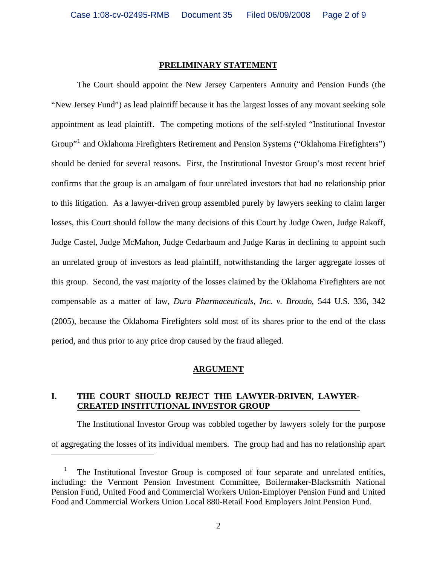#### **PRELIMINARY STATEMENT**

The Court should appoint the New Jersey Carpenters Annuity and Pension Funds (the "New Jersey Fund") as lead plaintiff because it has the largest losses of any movant seeking sole appointment as lead plaintiff. The competing motions of the self-styled "Institutional Investor Group"<sup>[1](#page-1-0)</sup> and Oklahoma Firefighters Retirement and Pension Systems ("Oklahoma Firefighters") should be denied for several reasons. First, the Institutional Investor Group's most recent brief confirms that the group is an amalgam of four unrelated investors that had no relationship prior to this litigation. As a lawyer-driven group assembled purely by lawyers seeking to claim larger losses, this Court should follow the many decisions of this Court by Judge Owen, Judge Rakoff, Judge Castel, Judge McMahon, Judge Cedarbaum and Judge Karas in declining to appoint such an unrelated group of investors as lead plaintiff, notwithstanding the larger aggregate losses of this group. Second, the vast majority of the losses claimed by the Oklahoma Firefighters are not compensable as a matter of law, *Dura Pharmaceuticals, Inc. v. Broudo*, 544 U.S. 336, 342 (2005), because the Oklahoma Firefighters sold most of its shares prior to the end of the class period, and thus prior to any price drop caused by the fraud alleged.

#### **ARGUMENT**

## **I. THE COURT SHOULD REJECT THE LAWYER-DRIVEN, LAWYER-CREATED INSTITUTIONAL INVESTOR GROUP**

The Institutional Investor Group was cobbled together by lawyers solely for the purpose of aggregating the losses of its individual members. The group had and has no relationship apart

<span id="page-1-0"></span><sup>1</sup> The Institutional Investor Group is composed of four separate and unrelated entities, including: the Vermont Pension Investment Committee, Boilermaker-Blacksmith National Pension Fund, United Food and Commercial Workers Union-Employer Pension Fund and United Food and Commercial Workers Union Local 880-Retail Food Employers Joint Pension Fund.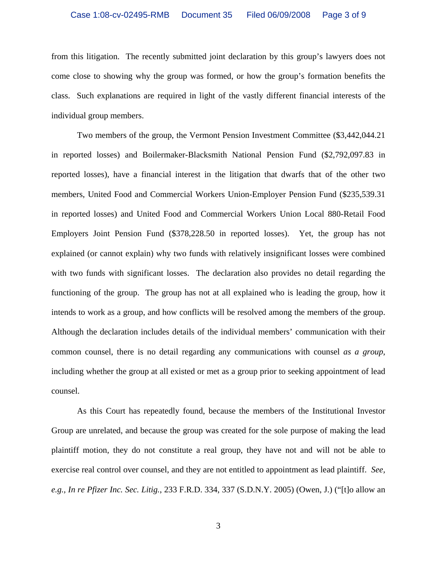from this litigation. The recently submitted joint declaration by this group's lawyers does not come close to showing why the group was formed, or how the group's formation benefits the class. Such explanations are required in light of the vastly different financial interests of the individual group members.

Two members of the group, the Vermont Pension Investment Committee (\$3,442,044.21 in reported losses) and Boilermaker-Blacksmith National Pension Fund (\$2,792,097.83 in reported losses), have a financial interest in the litigation that dwarfs that of the other two members, United Food and Commercial Workers Union-Employer Pension Fund (\$235,539.31 in reported losses) and United Food and Commercial Workers Union Local 880-Retail Food Employers Joint Pension Fund (\$378,228.50 in reported losses). Yet, the group has not explained (or cannot explain) why two funds with relatively insignificant losses were combined with two funds with significant losses. The declaration also provides no detail regarding the functioning of the group. The group has not at all explained who is leading the group, how it intends to work as a group, and how conflicts will be resolved among the members of the group. Although the declaration includes details of the individual members' communication with their common counsel, there is no detail regarding any communications with counsel *as a group*, including whether the group at all existed or met as a group prior to seeking appointment of lead counsel.

As this Court has repeatedly found, because the members of the Institutional Investor Group are unrelated, and because the group was created for the sole purpose of making the lead plaintiff motion, they do not constitute a real group, they have not and will not be able to exercise real control over counsel, and they are not entitled to appointment as lead plaintiff. *See, e.g., In re Pfizer Inc. Sec. Litig.*, 233 F.R.D. 334, 337 (S.D.N.Y. 2005) (Owen, J.) ("[t]o allow an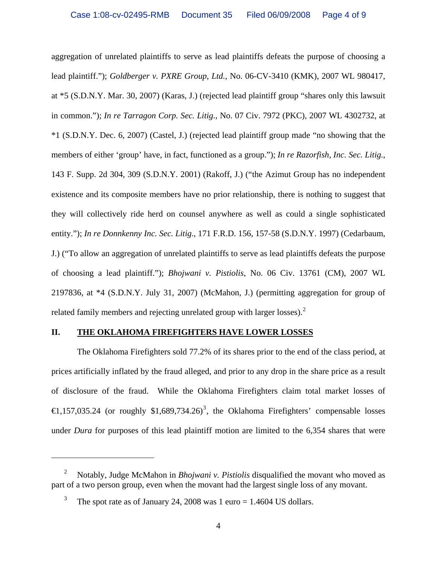aggregation of unrelated plaintiffs to serve as lead plaintiffs defeats the purpose of choosing a lead plaintiff."); *Goldberger v. PXRE Group, Ltd.*, No. 06-CV-3410 (KMK), 2007 WL 980417, at \*5 (S.D.N.Y. Mar. 30, 2007) (Karas, J.) (rejected lead plaintiff group "shares only this lawsuit in common."); *In re Tarragon Corp. Sec. Litig.*, No. 07 Civ. 7972 (PKC), 2007 WL 4302732, at \*1 (S.D.N.Y. Dec. 6, 2007) (Castel, J.) (rejected lead plaintiff group made "no showing that the members of either 'group' have, in fact, functioned as a group."); *In re Razorfish, Inc. Sec. Litig.*, 143 F. Supp. 2d 304, 309 (S.D.N.Y. 2001) (Rakoff, J.) ("the Azimut Group has no independent existence and its composite members have no prior relationship, there is nothing to suggest that they will collectively ride herd on counsel anywhere as well as could a single sophisticated entity."); *In re Donnkenny Inc. Sec. Litig.*, 171 F.R.D. 156, 157-58 (S.D.N.Y. 1997) (Cedarbaum, J.) ("To allow an aggregation of unrelated plaintiffs to serve as lead plaintiffs defeats the purpose of choosing a lead plaintiff."); *Bhojwani v. Pistiolis*, No. 06 Civ. 13761 (CM), 2007 WL 2197836, at \*4 (S.D.N.Y. July 31, 2007) (McMahon, J.) (permitting aggregation for group of related family members and rejecting unrelated group with larger losses). $2^2$  $2^2$ 

### **II. THE OKLAHOMA FIREFIGHTERS HAVE LOWER LOSSES**

The Oklahoma Firefighters sold 77.2% of its shares prior to the end of the class period, at prices artificially inflated by the fraud alleged, and prior to any drop in the share price as a result of disclosure of the fraud. While the Oklahoma Firefighters claim total market losses of  $\text{E}$ ,157,0[3](#page-3-1)5.24 (or roughly \$1,689,734.26)<sup>3</sup>, the Oklahoma Firefighters' compensable losses under *Dura* for purposes of this lead plaintiff motion are limited to the 6,354 shares that were

 $\overline{a}$ 

<span id="page-3-1"></span><span id="page-3-0"></span><sup>2</sup> Notably, Judge McMahon in *Bhojwani v. Pistiolis* disqualified the movant who moved as part of a two person group, even when the movant had the largest single loss of any movant.

<sup>3</sup> The spot rate as of January 24, 2008 was  $1 \text{ euro} = 1.4604 \text{ US dollars.}$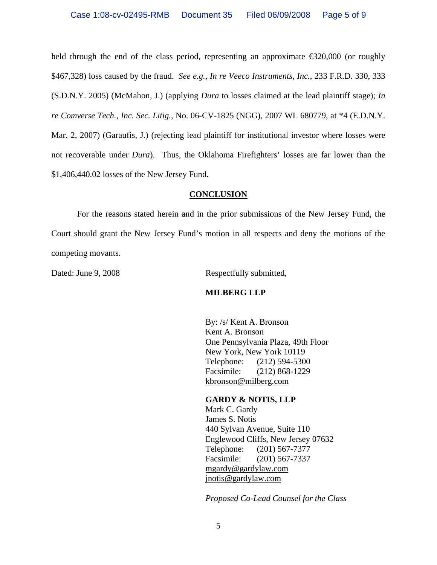held through the end of the class period, representing an approximate  $\epsilon$  320,000 (or roughly \$467,328) loss caused by the fraud. *See e.g., In re Veeco Instruments, Inc.*, 233 F.R.D. 330, 333 (S.D.N.Y. 2005) (McMahon, J.) (applying *Dura* to losses claimed at the lead plaintiff stage); *In re Comverse Tech., Inc. Sec. Litig.*, No. 06-CV-1825 (NGG), 2007 WL 680779, at \*4 (E.D.N.Y. Mar. 2, 2007) (Garaufis, J.) (rejecting lead plaintiff for institutional investor where losses were not recoverable under *Dura*). Thus, the Oklahoma Firefighters' losses are far lower than the \$1,406,440.02 losses of the New Jersey Fund.

#### **CONCLUSION**

For the reasons stated herein and in the prior submissions of the New Jersey Fund, the Court should grant the New Jersey Fund's motion in all respects and deny the motions of the competing movants.

Dated: June 9, 2008 Respectfully submitted,

### **MILBERG LLP**

By: /s/ Kent A. Bronson Kent A. Bronson One Pennsylvania Plaza, 49th Floor New York, New York 10119 Telephone: (212) 594-5300 Facsimile: (212) 868-1229 kbronson@milberg.com

### **GARDY & NOTIS, LLP**

Mark C. Gardy James S. Notis 440 Sylvan Avenue, Suite 110 Englewood Cliffs, New Jersey 07632 Telephone: (201) 567-7377 Facsimile: (201) 567-7337 mgardy@gardylaw.com jnotis@gardylaw.com

*Proposed Co-Lead Counsel for the Class*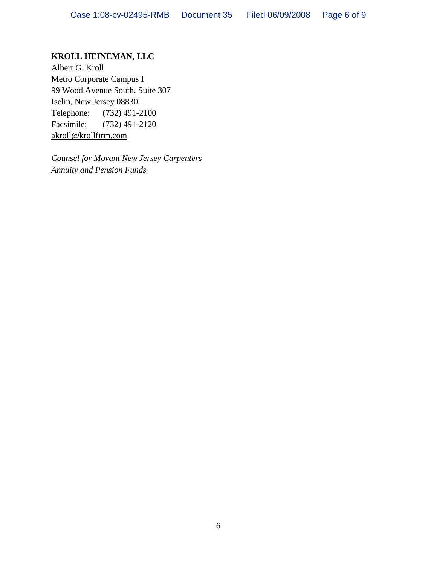# **KROLL HEINEMAN, LLC**

Albert G. Kroll Metro Corporate Campus I 99 Wood Avenue South, Suite 307 Iselin, New Jersey 08830 Telephone: (732) 491-2100 Facsimile: (732) 491-2120 akroll@krollfirm.com

*Counsel for Movant New Jersey Carpenters Annuity and Pension Funds*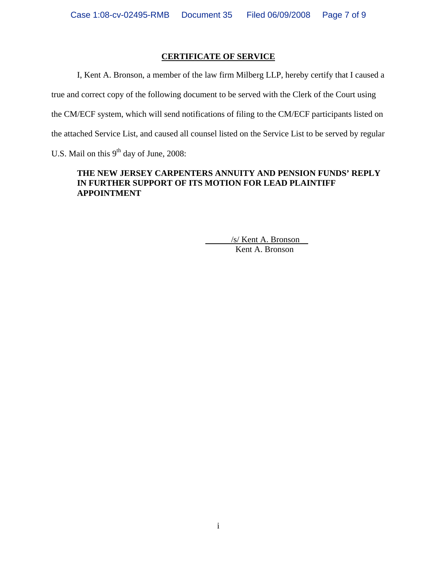## **CERTIFICATE OF SERVICE**

I, Kent A. Bronson, a member of the law firm Milberg LLP, hereby certify that I caused a true and correct copy of the following document to be served with the Clerk of the Court using the CM/ECF system, which will send notifications of filing to the CM/ECF participants listed on the attached Service List, and caused all counsel listed on the Service List to be served by regular U.S. Mail on this  $9<sup>th</sup>$  day of June, 2008:

## **THE NEW JERSEY CARPENTERS ANNUITY AND PENSION FUNDS' REPLY IN FURTHER SUPPORT OF ITS MOTION FOR LEAD PLAINTIFF APPOINTMENT**

 /s/ Kent A. Bronson Kent A. Bronson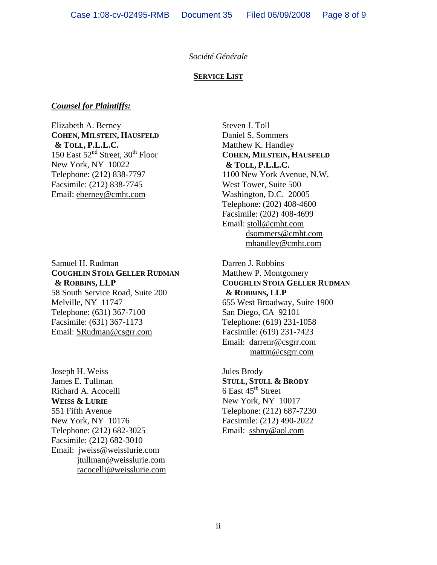### *Société Générale*

#### **SERVICE LIST**

#### *Counsel for Plaintiffs:*

Elizabeth A. Berney **COHEN, MILSTEIN, HAUSFELD & TOLL, P.L.L.C.**  150 East  $52<sup>nd</sup>$  Street, 30<sup>th</sup> Floor New York, NY 10022 Telephone: (212) 838-7797 Facsimile: (212) 838-7745 Email: eberney@cmht.com

Samuel H. Rudman **COUGHLIN STOIA GELLER RUDMAN & ROBBINS, LLP**  58 South Service Road, Suite 200 Melville, NY 11747 Telephone: (631) 367-7100 Facsimile: (631) 367-1173 Email: SRudman@csgrr.com

Joseph H. Weiss James E. Tullman Richard A. Acocelli **WEISS & LURIE** 551 Fifth Avenue New York, NY 10176 Telephone: (212) 682-3025 Facsimile: (212) 682-3010 Email: jweiss@weisslurie.com jtullman@weisslurie.com racocelli@weisslurie.com

Steven J. Toll Daniel S. Sommers Matthew K. Handley **COHEN, MILSTEIN, HAUSFELD & TOLL, P.L.L.C.**  1100 New York Avenue, N.W. West Tower, Suite 500 Washington, D.C. 20005 Telephone: (202) 408-4600 Facsimile: (202) 408-4699 Email: stoll@cmht.com dsommers@cmht.com mhandley@cmht.com

Darren J. Robbins Matthew P. Montgomery **COUGHLIN STOIA GELLER RUDMAN & ROBBINS, LLP**  655 West Broadway, Suite 1900 San Diego, CA 92101 Telephone: (619) 231-1058 Facsimile: (619) 231-7423 Email: darrenr@csgrr.com mattm@csgrr.com

Jules Brody **STULL, STULL & BRODY** 6 East  $45<sup>th</sup>$  Street New York, NY 10017 Telephone: (212) 687-7230 Facsimile: (212) 490-2022 Email: ssbny@aol.com